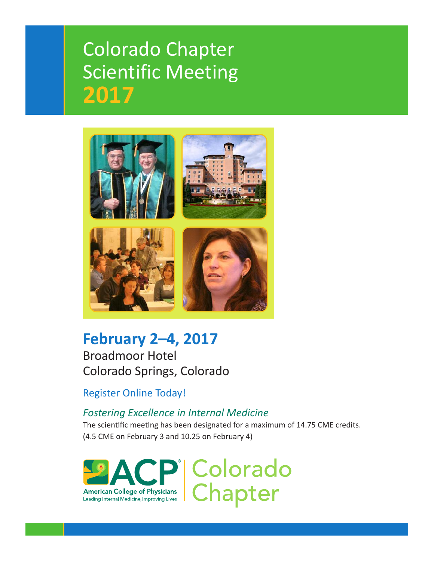# Colorado Chapter Scientific Meeting **2017**



## **February 2–4, 2017** Broadmoor Hotel Colorado Springs, Colorado

Register Online Today!

## *Fostering Excellence in Internal Medicine*

The scientific meeting has been designated for a maximum of 14.75 CME credits. (4.5 CME on February 3 and 10.25 on February 4)

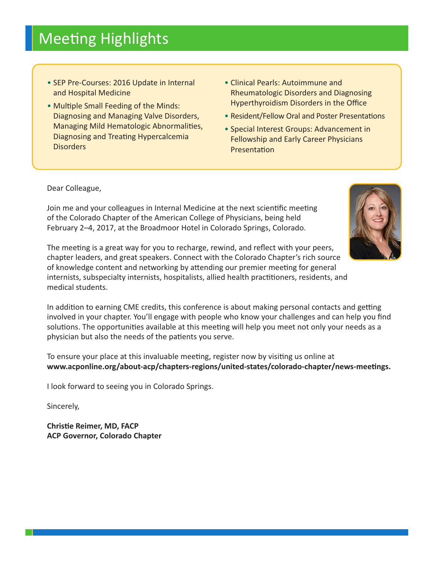# Meeting Highlights

- SEP Pre-Courses: 2016 Update in Internal and Hospital Medicine
- Multiple Small Feeding of the Minds: Diagnosing and Managing Valve Disorders, Managing Mild Hematologic Abnormalities, Diagnosing and Treating Hypercalcemia **Disorders**
- Clinical Pearls: Autoimmune and Rheumatologic Disorders and Diagnosing Hyperthyroidism Disorders in the Office
- Resident/Fellow Oral and Poster Presentations
- Special Interest Groups: Advancement in Fellowship and Early Career Physicians Presentation

Dear Colleague,

Join me and your colleagues in Internal Medicine at the next scientific meeting of the Colorado Chapter of the American College of Physicians, being held February 2–4, 2017, at the Broadmoor Hotel in Colorado Springs, Colorado.

The meeting is a great way for you to recharge, rewind, and reflect with your peers, chapter leaders, and great speakers. Connect with the Colorado Chapter's rich source of knowledge content and networking by attending our premier meeting for general internists, subspecialty internists, hospitalists, allied health practitioners, residents, and medical students.

In addition to earning CME credits, this conference is about making personal contacts and getting involved in your chapter. You'll engage with people who know your challenges and can help you find solutions. The opportunities available at this meeting will help you meet not only your needs as a physician but also the needs of the patients you serve.

To ensure your place at this invaluable meeting, register now by visiting us online at **www.acponline.org/about-acp/chapters-regions/united-states/colorado-chapter/news-meetings.**

I look forward to seeing you in Colorado Springs.

Sincerely,

**Christie Reimer, MD, FACP ACP Governor, Colorado Chapter**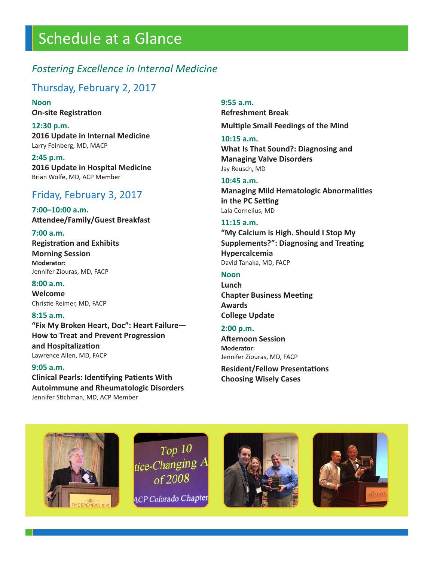# Schedule at a Glance

## *Fostering Excellence in Internal Medicine*

#### Thursday, February 2, 2017

**Noon On-site Registration**

**12:30 p.m. 2016 Update in Internal Medicine** Larry Feinberg, MD, MACP

**2:45 p.m. 2016 Update in Hospital Medicine** Brian Wolfe, MD, ACP Member

## Friday, February 3, 2017

**7:00–10:00 a.m. Attendee/Family/Guest Breakfast**

#### **7:00 a.m.**

**Registration and Exhibits Morning Session Moderator:** Jennifer Ziouras, MD, FACP

#### **8:00 a.m.**

**Welcome** Christie Reimer, MD, FACP

#### **8:15 a.m.**

**"Fix My Broken Heart, Doc": Heart Failure— How to Treat and Prevent Progression and Hospitalization** Lawrence Allen, MD, FACP

#### **9:05 a.m.**

**Clinical Pearls: Identifying Patients With Autoimmune and Rheumatologic Disorders** Jennifer Stichman, MD, ACP Member

#### **9:55 a.m.**

**Refreshment Break Multiple Small Feedings of the Mind**

#### **10:15 a.m.**

**What Is That Sound?: Diagnosing and Managing Valve Disorders** Jay Reusch, MD

#### **10:45 a.m.**

**Managing Mild Hematologic Abnormalities in the PC Setting** Lala Cornelius, MD

#### **11:15 a.m.**

**"My Calcium is High. Should I Stop My Supplements?": Diagnosing and Treating Hypercalcemia** David Tanaka, MD, FACP

#### **Noon**

**Lunch Chapter Business Meeting Awards College Update**

#### **2:00 p.m.**

**Afternoon Session Moderator:** Jennifer Ziouras, MD, FACP

**Resident/Fellow Presentations Choosing Wisely Cases**



 $Top 10$ tice-Changing  $A$ of 2008 **ACP Colorado Chapter** 



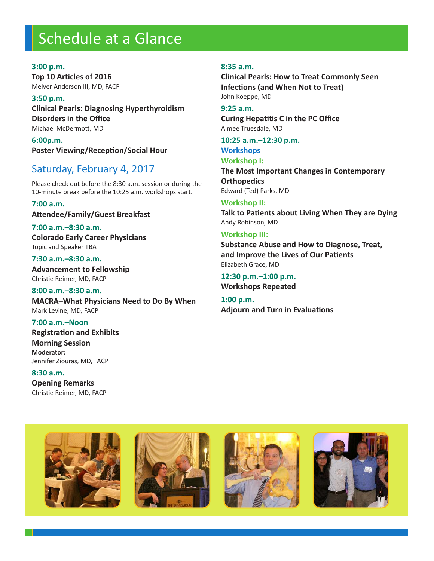# Schedule at a Glance

#### **3:00 p.m.**

**Top 10 Articles of 2016** Melver Anderson III, MD, FACP

**3:50 p.m. Clinical Pearls: Diagnosing Hyperthyroidism Disorders in the Office** Michael McDermott, MD

**6:00p.m. Poster Viewing/Reception/Social Hour**

## Saturday, February 4, 2017

Please check out before the 8:30 a.m. session or during the 10-minute break before the 10:25 a.m. workshops start.

#### **7:00 a.m.**

**Attendee/Family/Guest Breakfast**

**7:00 a.m.–8:30 a.m. Colorado Early Career Physicians** Topic and Speaker TBA

**7:30 a.m.–8:30 a.m. Advancement to Fellowship** Christie Reimer, MD, FACP

**8:00 a.m.–8:30 a.m. MACRA–What Physicians Need to Do By When** Mark Levine, MD, FACP

**7:00 a.m.–Noon Registration and Exhibits Morning Session Moderator:** Jennifer Ziouras, MD, FACP

**8:30 a.m. Opening Remarks** Christie Reimer, MD, FACP

#### **8:35 a.m.**

**Clinical Pearls: How to Treat Commonly Seen Infections (and When Not to Treat)** John Koeppe, MD

#### **9:25 a.m.**

**Curing Hepatitis C in the PC Office** Aimee Truesdale, MD

## **10:25 a.m.–12:30 p.m.**

#### **Workshops Workshop I:**

**The Most Important Changes in Contemporary Orthopedics** Edward (Ted) Parks, MD

#### **Workshop II:**

**Talk to Patients about Living When They are Dying** Andy Robinson, MD

#### **Workshop III:**

**Substance Abuse and How to Diagnose, Treat, and Improve the Lives of Our Patients** Elizabeth Grace, MD

**12:30 p.m.–1:00 p.m. Workshops Repeated**

**1:00 p.m. Adjourn and Turn in Evaluations**

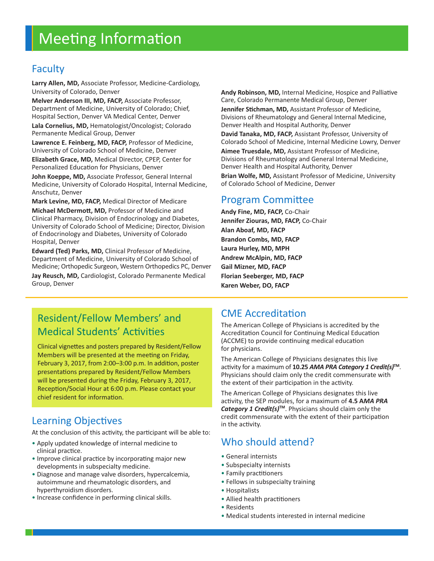# Meeting Information

## Faculty

**Larry Allen, MD,** Associate Professor, Medicine-Cardiology, University of Colorado, Denver

**Melver Anderson III, MD, FACP,** Associate Professor, Department of Medicine, University of Colorado; Chief, Hospital Section, Denver VA Medical Center, Denver

**Lala Cornelius, MD,** Hematologist/Oncologist; Colorado Permanente Medical Group, Denver

**Lawrence E. Feinberg, MD, FACP,** Professor of Medicine, University of Colorado School of Medicine, Denver

**Elizabeth Grace, MD,** Medical Director, CPEP, Center for Personalized Education for Physicians, Denver

**John Koeppe, MD,** Associate Professor, General Internal Medicine, University of Colorado Hospital, Internal Medicine, Anschutz, Denver

**Mark Levine, MD, FACP,** Medical Director of Medicare

**Michael McDermott, MD,** Professor of Medicine and Clinical Pharmacy, Division of Endocrinology and Diabetes, University of Colorado School of Medicine; Director, Division of Endocrinology and Diabetes, University of Colorado Hospital, Denver

**Edward (Ted) Parks, MD,** Clinical Professor of Medicine, Department of Medicine, University of Colorado School of Medicine; Orthopedic Surgeon, Western Orthopedics PC, Denver **Jay Reusch, MD,** Cardiologist, Colorado Permanente Medical

Group, Denver

**Andy Robinson, MD,** Internal Medicine, Hospice and Palliative Care, Colorado Permanente Medical Group, Denver

**Jennifer Stichman, MD,** Assistant Professor of Medicine, Divisions of Rheumatology and General Internal Medicine, Denver Health and Hospital Authority, Denver

**David Tanaka, MD, FACP,** Assistant Professor, University of Colorado School of Medicine, Internal Medicine Lowry, Denver

**Aimee Truesdale, MD,** Assistant Professor of Medicine, Divisions of Rheumatology and General Internal Medicine, Denver Health and Hospital Authority, Denver

**Brian Wolfe, MD,** Assistant Professor of Medicine, University of Colorado School of Medicine, Denver

#### Program Committee

**Andy Fine, MD, FACP,** Co-Chair **Jennifer Ziouras, MD, FACP,** Co-Chair **Alan Aboaf, MD, FACP Brandon Combs, MD, FACP Laura Hurley, MD, MPH Andrew McAlpin, MD, FACP Gail Mizner, MD, FACP Florian Seeberger, MD, FACP Karen Weber, DO, FACP**

## Resident/Fellow Members' and Medical Students' Activities

Clinical vignettes and posters prepared by Resident/Fellow Members will be presented at the meeting on Friday, February 3, 2017, from 2:00–3:00 p.m. In addition, poster presentations prepared by Resident/Fellow Members will be presented during the Friday, February 3, 2017, Reception/Social Hour at 6:00 p.m. Please contact your chief resident for information.

## Learning Objectives

At the conclusion of this activity, the participant will be able to:

- Apply updated knowledge of internal medicine to clinical practice.
- Improve clinical practice by incorporating major new developments in subspecialty medicine.
- Diagnose and manage valve disorders, hypercalcemia, autoimmune and rheumatologic disorders, and hyperthyroidism disorders.
- Increase confidence in performing clinical skills.

## CME Accreditation

The American College of Physicians is accredited by the Accreditation Council for Continuing Medical Education (ACCME) to provide continuing medical education for physicians.

The American College of Physicians designates this live activity for a maximum of **10.25** *AMA PRA Category 1 Credit(s)* **TM**. Physicians should claim only the credit commensurate with the extent of their participation in the activity.

The American College of Physicians designates this live activity, the SEP modules, for a maximum of **4.5 A***MA PRA Category 1 Credit(s)* **TM**. Physicians should claim only the credit commensurate with the extent of their participation in the activity.

## Who should attend?

- General internists
- Subspecialty internists
- Family practitioners
- Fellows in subspecialty training
- Hospitalists
- Allied health practitioners
- Residents
- Medical students interested in internal medicine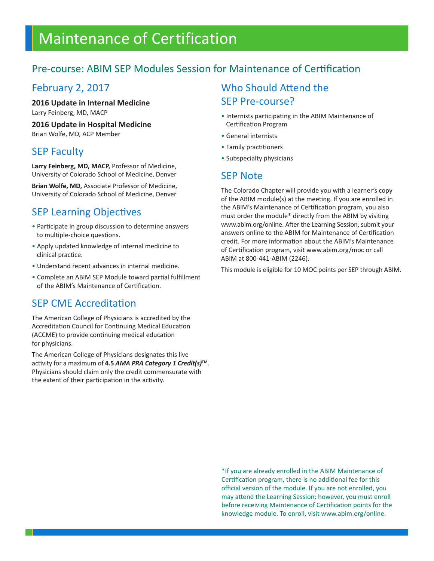# Maintenance of Certification

## Pre-course: ABIM SEP Modules Session for Maintenance of Certification

#### February 2, 2017

**2016 Update in Internal Medicine** Larry Feinberg, MD, MACP

**2016 Update in Hospital Medicine**

Brian Wolfe, MD, ACP Member

## SEP Faculty

**Larry Feinberg, MD, MACP,** Professor of Medicine, University of Colorado School of Medicine, Denver

**Brian Wolfe, MD,** Associate Professor of Medicine, University of Colorado School of Medicine, Denver

## SEP Learning Objectives

- Participate in group discussion to determine answers to multiple-choice questions.
- Apply updated knowledge of internal medicine to clinical practice.
- Understand recent advances in internal medicine.
- Complete an ABIM SEP Module toward partial fulfillment of the ABIM's Maintenance of Certification.

## SEP CME Accreditation

The American College of Physicians is accredited by the Accreditation Council for Continuing Medical Education (ACCME) to provide continuing medical education for physicians.

The American College of Physicians designates this live activity for a maximum of **4.5** *AMA PRA Category 1 Credit(s)* **TM**. Physicians should claim only the credit commensurate with the extent of their participation in the activity.

## Who Should Attend the SEP Pre-course?

- Internists participating in the ABIM Maintenance of Certification Program
- General internists
- Family practitioners
- Subspecialty physicians

### SEP Note

The Colorado Chapter will provide you with a learner's copy of the ABIM module(s) at the meeting. If you are enrolled in the ABIM's Maintenance of Certification program, you also must order the module\* directly from the ABIM by visiting www.abim.org/online. After the Learning Session, submit your answers online to the ABIM for Maintenance of Certification credit. For more information about the ABIM's Maintenance of Certification program, visit www.abim.org/moc or call ABIM at 800-441-ABIM (2246).

This module is eligible for 10 MOC points per SEP through ABIM.

\*If you are already enrolled in the ABIM Maintenance of Certification program, there is no additional fee for this official version of the module. If you are not enrolled, you may attend the Learning Session; however, you must enroll before receiving Maintenance of Certification points for the knowledge module. To enroll, visit www.abim.org/online.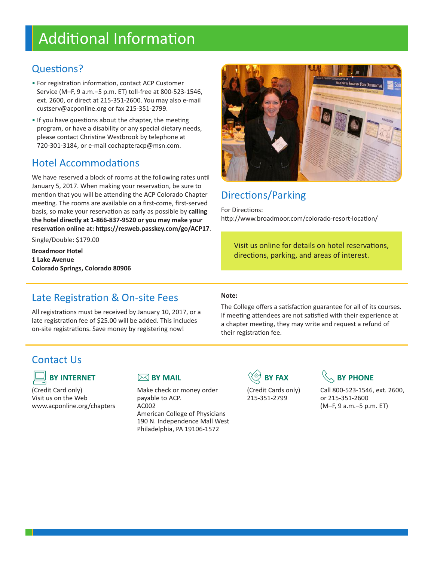# Additional Information

## Questions?

- For registration information, contact ACP Customer Service (M–F, 9 a.m.–5 p.m. ET) toll-free at 800-523-1546, ext. 2600, or direct at 215-351-2600. You may also e-mail custserv@acponline.org or fax 215-351-2799.
- If you have questions about the chapter, the meeting program, or have a disability or any special dietary needs, please contact Christine Westbrook by telephone at 720-301-3184, or e-mail cochapteracp@msn.com.

## Hotel Accommodations

We have reserved a block of rooms at the following rates until January 5, 2017. When making your reservation, be sure to mention that you will be attending the ACP Colorado Chapter meeting. The rooms are available on a first-come, first-served basis, so make your reservation as early as possible by **calling the hotel directly at 1-866-837-9520 or you may make your reservation online at: https://resweb.passkey.com/go/ACP17**.

Single/Double: \$179.00

**Broadmoor Hotel 1 Lake Avenue Colorado Springs, Colorado 80906**



## Directions/Parking

For Directions: http://www.broadmoor.com/colorado-resort-location/

Visit us online for details on hotel reservations, directions, parking, and areas of interest.

### Late Registration & On-site Fees

All registrations must be received by January 10, 2017, or a late registration fee of \$25.00 will be added. This includes on-site registrations. Save money by registering now!

#### **Note:**

The College offers a satisfaction guarantee for all of its courses. If meeting attendees are not satisfied with their experience at a chapter meeting, they may write and request a refund of their registration fee.

## Contact Us



Visit us on the Web **payable to ACP.** 215-351-2799 or 215-351-2600 www.acponline.org/chapters AC002 (M–F, 9 a.m.–5 p.m. ET) American College of Physicians 190 N. Independence Mall West Philadelphia, PA 19106-1572



(Credit Card only) Make check or money order (Credit Cards only) Call 800-523-1546, ext. 2600,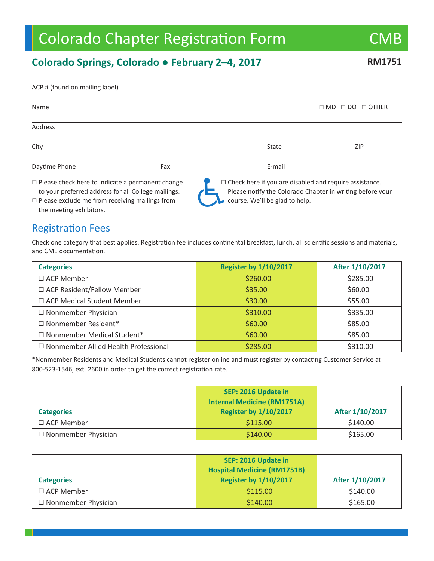# Colorado Chapter Registration Form CMB

## **Colorado Springs, Colorado ● February 2–4, 2017 RM1751**

| Name                                                                                                                                                                    |     |                                                                                                                                                              | $\Box$ MD $\Box$ DO<br>$\Box$ OTHER |
|-------------------------------------------------------------------------------------------------------------------------------------------------------------------------|-----|--------------------------------------------------------------------------------------------------------------------------------------------------------------|-------------------------------------|
| <b>Address</b>                                                                                                                                                          |     |                                                                                                                                                              |                                     |
| City                                                                                                                                                                    |     | State                                                                                                                                                        | ZIP                                 |
| Daytime Phone                                                                                                                                                           | Fax | E-mail                                                                                                                                                       |                                     |
| $\Box$ Please check here to indicate a permanent change<br>to your preferred address for all College mailings.<br>$\Box$ Please exclude me from receiving mailings from |     | $\Box$ Check here if you are disabled and require assistance.<br>Please notify the Colorado Chapter in writing before your<br>course. We'll be glad to help. |                                     |

 $\square$  Please exclude me from receiving mailings from the meeting exhibitors.

#### Registration Fees

ACP # (found on mailing label)

Check one category that best applies. Registration fee includes continental breakfast, lunch, all scientific sessions and materials, and CME documentation.

| <b>Categories</b>                           | <b>Register by 1/10/2017</b> | After 1/10/2017 |  |
|---------------------------------------------|------------------------------|-----------------|--|
| $\Box$ ACP Member                           | \$260.00                     | \$285.00        |  |
| □ ACP Resident/Fellow Member                | \$35.00                      | \$60.00         |  |
| □ ACP Medical Student Member                | \$30.00                      | \$55.00         |  |
| $\Box$ Nonmember Physician                  | \$310.00                     | \$335.00        |  |
| □ Nonmember Resident*                       | \$60.00                      | \$85.00         |  |
| $\Box$ Nonmember Medical Student*           | \$60.00                      | \$85.00         |  |
| $\Box$ Nonmember Allied Health Professional | \$285.00                     | \$310.00        |  |

\*Nonmember Residents and Medical Students cannot register online and must register by contacting Customer Service at 800-523-1546, ext. 2600 in order to get the correct registration rate.

|                            | SEP: 2016 Update in<br><b>Internal Medicine (RM1751A)</b> |                 |  |
|----------------------------|-----------------------------------------------------------|-----------------|--|
| <b>Categories</b>          | <b>Register by 1/10/2017</b>                              | After 1/10/2017 |  |
| $\Box$ ACP Member          | \$115.00                                                  | \$140.00        |  |
| $\Box$ Nonmember Physician | \$140.00                                                  | \$165.00        |  |

|                            | SEP: 2016 Update in<br><b>Hospital Medicine (RM1751B)</b> |                 |
|----------------------------|-----------------------------------------------------------|-----------------|
| <b>Categories</b>          | <b>Register by 1/10/2017</b>                              | After 1/10/2017 |
| $\Box$ ACP Member          | \$115.00                                                  | \$140.00        |
| $\Box$ Nonmember Physician | \$140.00                                                  | \$165.00        |